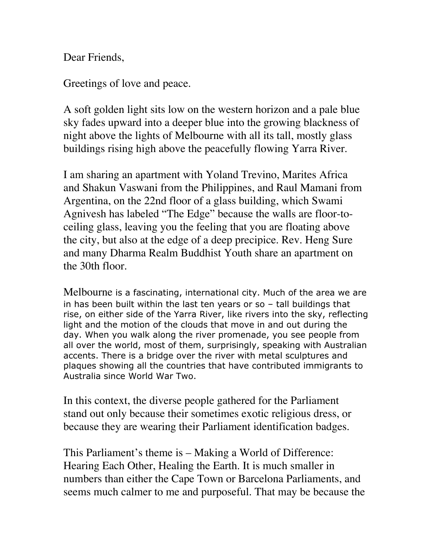Dear Friends,

Greetings of love and peace.

A soft golden light sits low on the western horizon and a pale blue sky fades upward into a deeper blue into the growing blackness of night above the lights of Melbourne with all its tall, mostly glass buildings rising high above the peacefully flowing Yarra River.

I am sharing an apartment with Yoland Trevino, Marites Africa and Shakun Vaswani from the Philippines, and Raul Mamani from Argentina, on the 22nd floor of a glass building, which Swami Agnivesh has labeled "The Edge" because the walls are floor-toceiling glass, leaving you the feeling that you are floating above the city, but also at the edge of a deep precipice. Rev. Heng Sure and many Dharma Realm Buddhist Youth share an apartment on the 30th floor.

Melbourne is a fascinating, international city. Much of the area we are in has been built within the last ten years or so – tall buildings that rise, on either side of the Yarra River, like rivers into the sky, reflecting light and the motion of the clouds that move in and out during the day. When you walk along the river promenade, you see people from all over the world, most of them, surprisingly, speaking with Australian accents. There is a bridge over the river with metal sculptures and plaques showing all the countries that have contributed immigrants to Australia since World War Two.

In this context, the diverse people gathered for the Parliament stand out only because their sometimes exotic religious dress, or because they are wearing their Parliament identification badges.

This Parliament's theme is – Making a World of Difference: Hearing Each Other, Healing the Earth. It is much smaller in numbers than either the Cape Town or Barcelona Parliaments, and seems much calmer to me and purposeful. That may be because the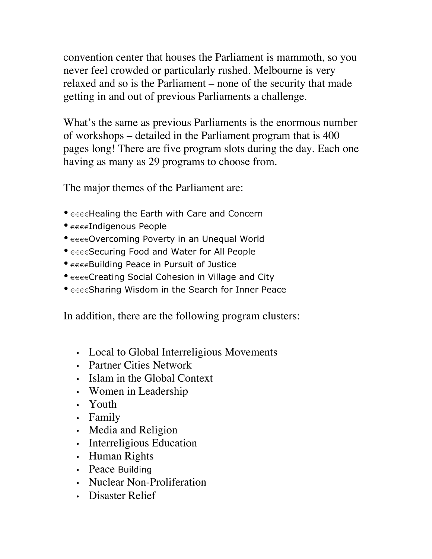convention center that houses the Parliament is mammoth, so you never feel crowded or particularly rushed. Melbourne is very relaxed and so is the Parliament – none of the security that made getting in and out of previous Parliaments a challenge.

What's the same as previous Parliaments is the enormous number of workshops – detailed in the Parliament program that is 400 pages long! There are five program slots during the day. Each one having as many as 29 programs to choose from.

The major themes of the Parliament are:

- $\epsilon \in \epsilon \in H$ ealing the Earth with Care and Concern
- €€€€Indigenous People
- $\epsilon \in \epsilon$ Overcoming Poverty in an Unequal World
- $\epsilon \in \epsilon$ Securing Food and Water for All People
- $\epsilon \in \epsilon$ Building Peace in Pursuit of Justice
- $\epsilon \in \epsilon \in \mathbb{C}$ reating Social Cohesion in Village and City
- $\epsilon \in \epsilon$ Sharing Wisdom in the Search for Inner Peace

In addition, there are the following program clusters:

- Local to Global Interreligious Movements
- Partner Cities Network
- Islam in the Global Context
- Women in Leadership
- Youth
- Family
- Media and Religion
- Interreligious Education
- Human Rights
- Peace Building
- Nuclear Non-Proliferation
- Disaster Relief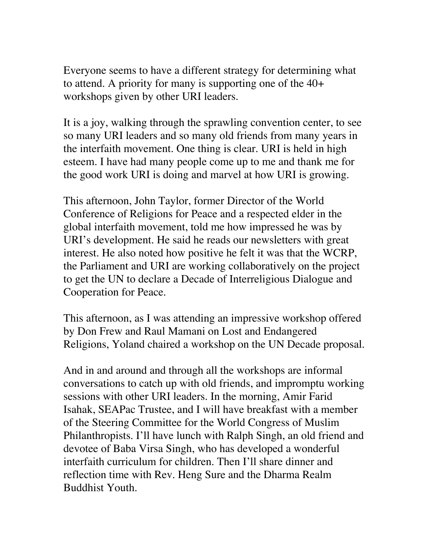Everyone seems to have a different strategy for determining what to attend. A priority for many is supporting one of the 40+ workshops given by other URI leaders.

It is a joy, walking through the sprawling convention center, to see so many URI leaders and so many old friends from many years in the interfaith movement. One thing is clear. URI is held in high esteem. I have had many people come up to me and thank me for the good work URI is doing and marvel at how URI is growing.

This afternoon, John Taylor, former Director of the World Conference of Religions for Peace and a respected elder in the global interfaith movement, told me how impressed he was by URI's development. He said he reads our newsletters with great interest. He also noted how positive he felt it was that the WCRP, the Parliament and URI are working collaboratively on the project to get the UN to declare a Decade of Interreligious Dialogue and Cooperation for Peace.

This afternoon, as I was attending an impressive workshop offered by Don Frew and Raul Mamani on Lost and Endangered Religions, Yoland chaired a workshop on the UN Decade proposal.

And in and around and through all the workshops are informal conversations to catch up with old friends, and impromptu working sessions with other URI leaders. In the morning, Amir Farid Isahak, SEAPac Trustee, and I will have breakfast with a member of the Steering Committee for the World Congress of Muslim Philanthropists. I'll have lunch with Ralph Singh, an old friend and devotee of Baba Virsa Singh, who has developed a wonderful interfaith curriculum for children. Then I'll share dinner and reflection time with Rev. Heng Sure and the Dharma Realm Buddhist Youth.